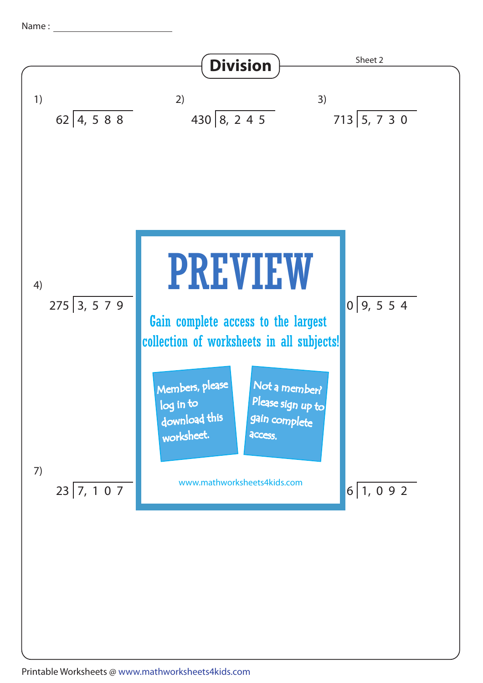